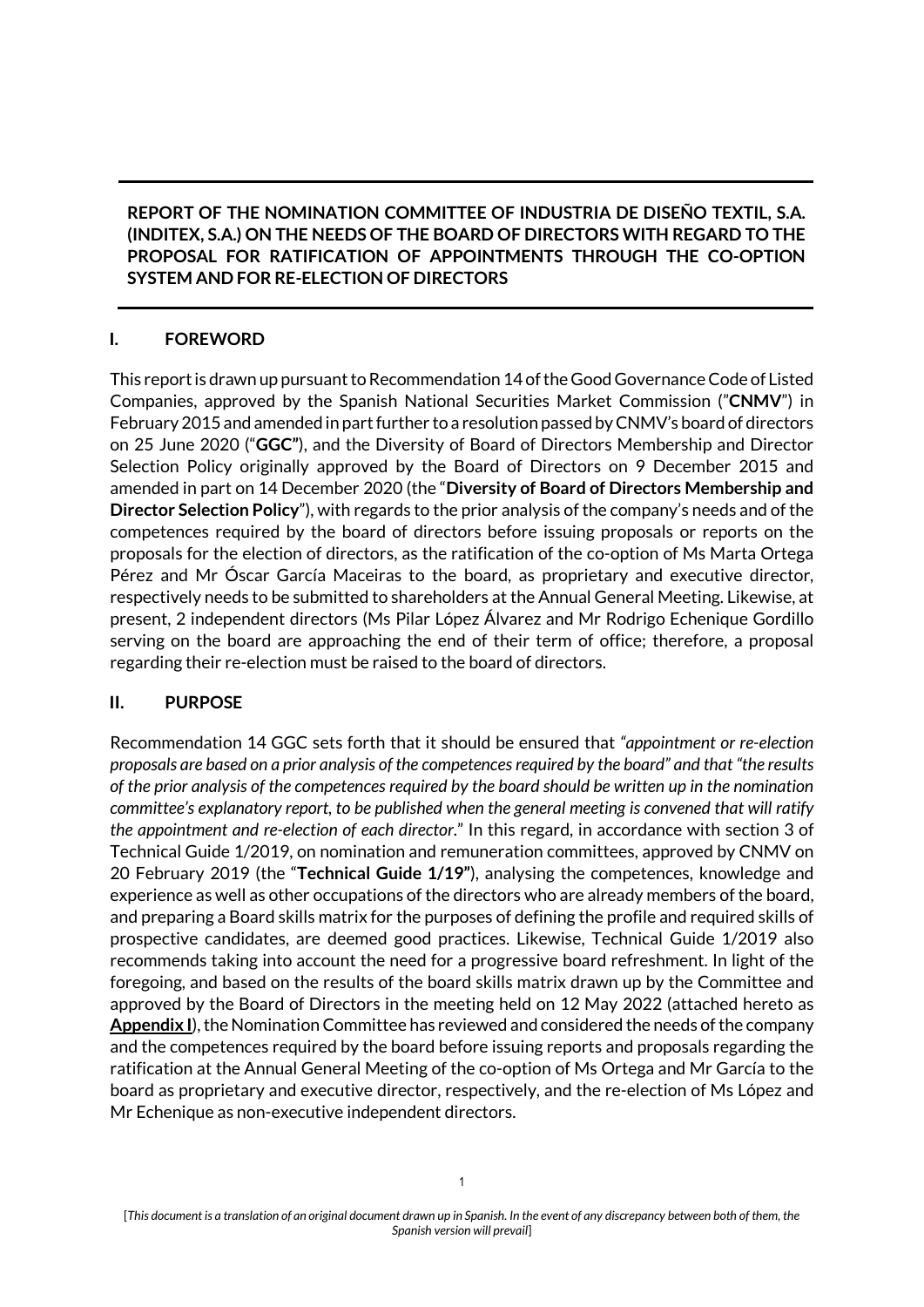### **REPORT OF THE NOMINATION COMMITTEE OF INDUSTRIA DE DISEÑO TEXTIL, S.A. (INDITEX, S.A.) ON THE NEEDS OF THE BOARD OF DIRECTORS WITH REGARD TO THE PROPOSAL FOR RATIFICATION OF APPOINTMENTS THROUGH THE CO-OPTION SYSTEM AND FOR RE-ELECTION OF DIRECTORS**

## **I. FOREWORD**

This report is drawn up pursuant to Recommendation 14 of the Good Governance Code of Listed Companies, approved by the Spanish National Securities Market Commission ("**CNMV**") in February 2015 and amended in part further to a resolution passed by CNMV's board of directors on 25 June 2020 ("**GGC"**), and the Diversity of Board of Directors Membership and Director Selection Policy originally approved by the Board of Directors on 9 December 2015 and amended in part on 14 December 2020 (the "**Diversity of Board of Directors Membership and Director Selection Policy**"), with regards to the prior analysis of the company's needs and of the competences required by the board of directors before issuing proposals or reports on the proposals for the election of directors, as the ratification of the co-option of Ms Marta Ortega Pérez and Mr Óscar García Maceiras to the board, as proprietary and executive director, respectively needs to be submitted to shareholders at the Annual General Meeting. Likewise, at present, 2 independent directors (Ms Pilar López Álvarez and Mr Rodrigo Echenique Gordillo serving on the board are approaching the end of their term of office; therefore, a proposal regarding their re-election must be raised to the board of directors.

### **II. PURPOSE**

Recommendation 14 GGC sets forth that it should be ensured that *"appointment or re-election proposals are based on a prior analysis of the competences required by the board" and that "the results of the prior analysis of the competences required by the board should be written up in the nomination committee's explanatory report, to be published when the general meeting is convened that will ratify the appointment and re-election of each director*." In this regard, in accordance with section 3 of Technical Guide 1/2019, on nomination and remuneration committees, approved by CNMV on 20 February 2019 (the "**Technical Guide 1/19"**), analysing the competences, knowledge and experience as well as other occupations of the directors who are already members of the board, and preparing a Board skills matrix for the purposes of defining the profile and required skills of prospective candidates, are deemed good practices. Likewise, Technical Guide 1/2019 also recommends taking into account the need for a progressive board refreshment. In light of the foregoing, and based on the results of the board skills matrix drawn up by the Committee and approved by the Board of Directors in the meeting held on 12 May 2022 (attached hereto as **Appendix I**), the Nomination Committee has reviewed and considered the needs of the company and the competences required by the board before issuing reports and proposals regarding the ratification at the Annual General Meeting of the co-option of Ms Ortega and Mr García to the board as proprietary and executive director, respectively, and the re-election of Ms López and Mr Echenique as non-executive independent directors.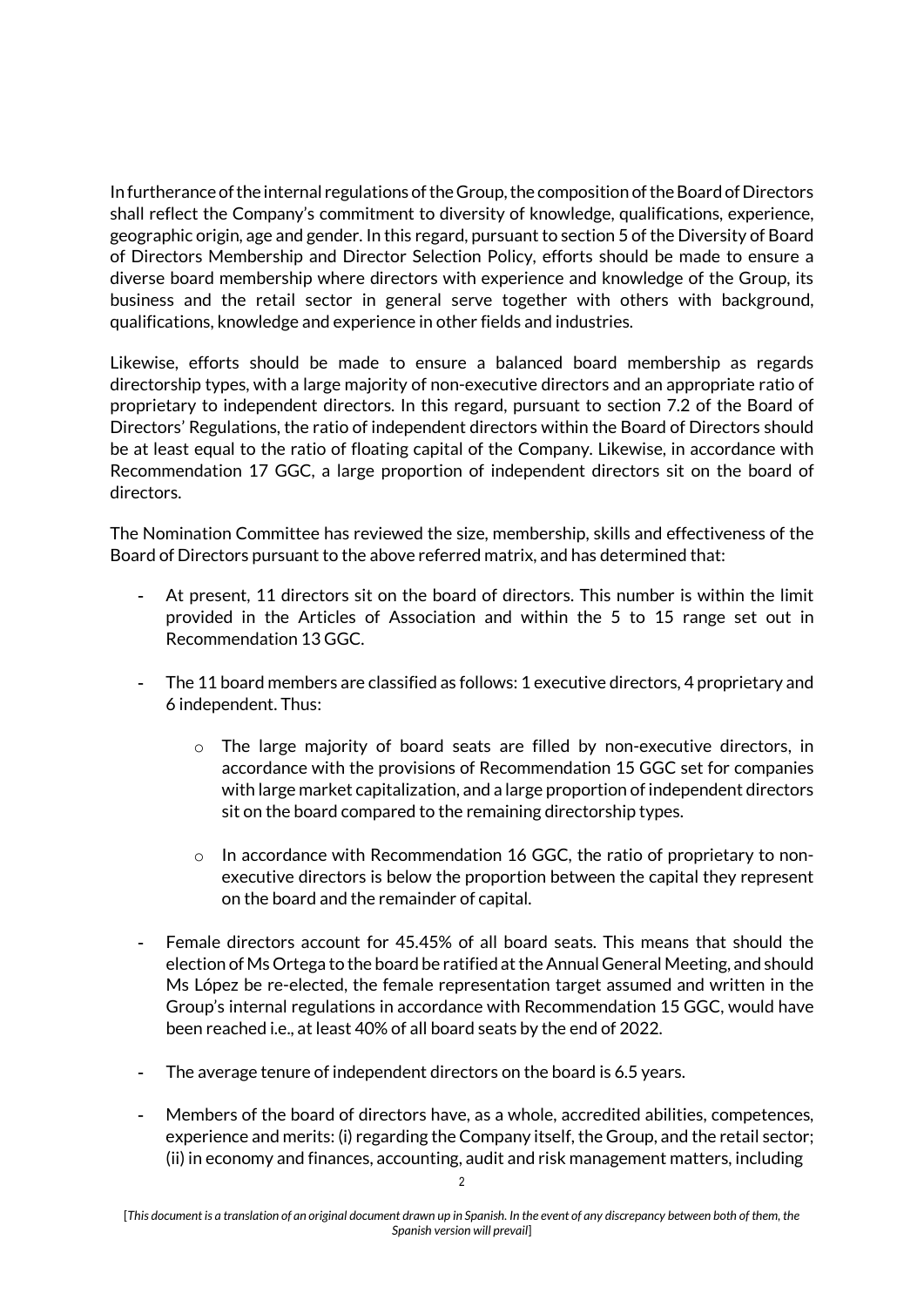In furtherance of the internal regulations of the Group, the composition of the Board of Directors shall reflect the Company's commitment to diversity of knowledge, qualifications, experience, geographic origin, age and gender. In this regard, pursuant to section 5 of the Diversity of Board of Directors Membership and Director Selection Policy, efforts should be made to ensure a diverse board membership where directors with experience and knowledge of the Group, its business and the retail sector in general serve together with others with background, qualifications, knowledge and experience in other fields and industries.

Likewise, efforts should be made to ensure a balanced board membership as regards directorship types, with a large majority of non-executive directors and an appropriate ratio of proprietary to independent directors. In this regard, pursuant to section 7.2 of the Board of Directors' Regulations, the ratio of independent directors within the Board of Directors should be at least equal to the ratio of floating capital of the Company. Likewise, in accordance with Recommendation 17 GGC, a large proportion of independent directors sit on the board of directors.

The Nomination Committee has reviewed the size, membership, skills and effectiveness of the Board of Directors pursuant to the above referred matrix, and has determined that:

- At present, 11 directors sit on the board of directors. This number is within the limit provided in the Articles of Association and within the 5 to 15 range set out in Recommendation 13 GGC.
- The 11 board members are classified as follows: 1 executive directors, 4 proprietary and 6 independent. Thus:
	- o The large majority of board seats are filled by non-executive directors, in accordance with the provisions of Recommendation 15 GGC set for companies with large market capitalization, and a large proportion of independent directors sit on the board compared to the remaining directorship types.
	- o In accordance with Recommendation 16 GGC, the ratio of proprietary to nonexecutive directors is below the proportion between the capital they represent on the board and the remainder of capital.
- Female directors account for 45.45% of all board seats. This means that should the election of Ms Ortega to the board be ratified at the Annual General Meeting, and should Ms López be re-elected, the female representation target assumed and written in the Group's internal regulations in accordance with Recommendation 15 GGC, would have been reached i.e., at least 40% of all board seats by the end of 2022.
- The average tenure of independent directors on the board is 6.5 years.
- Members of the board of directors have, as a whole, accredited abilities, competences, experience and merits: (i) regarding the Company itself, the Group, and the retail sector; (ii) in economy and finances, accounting, audit and risk management matters, including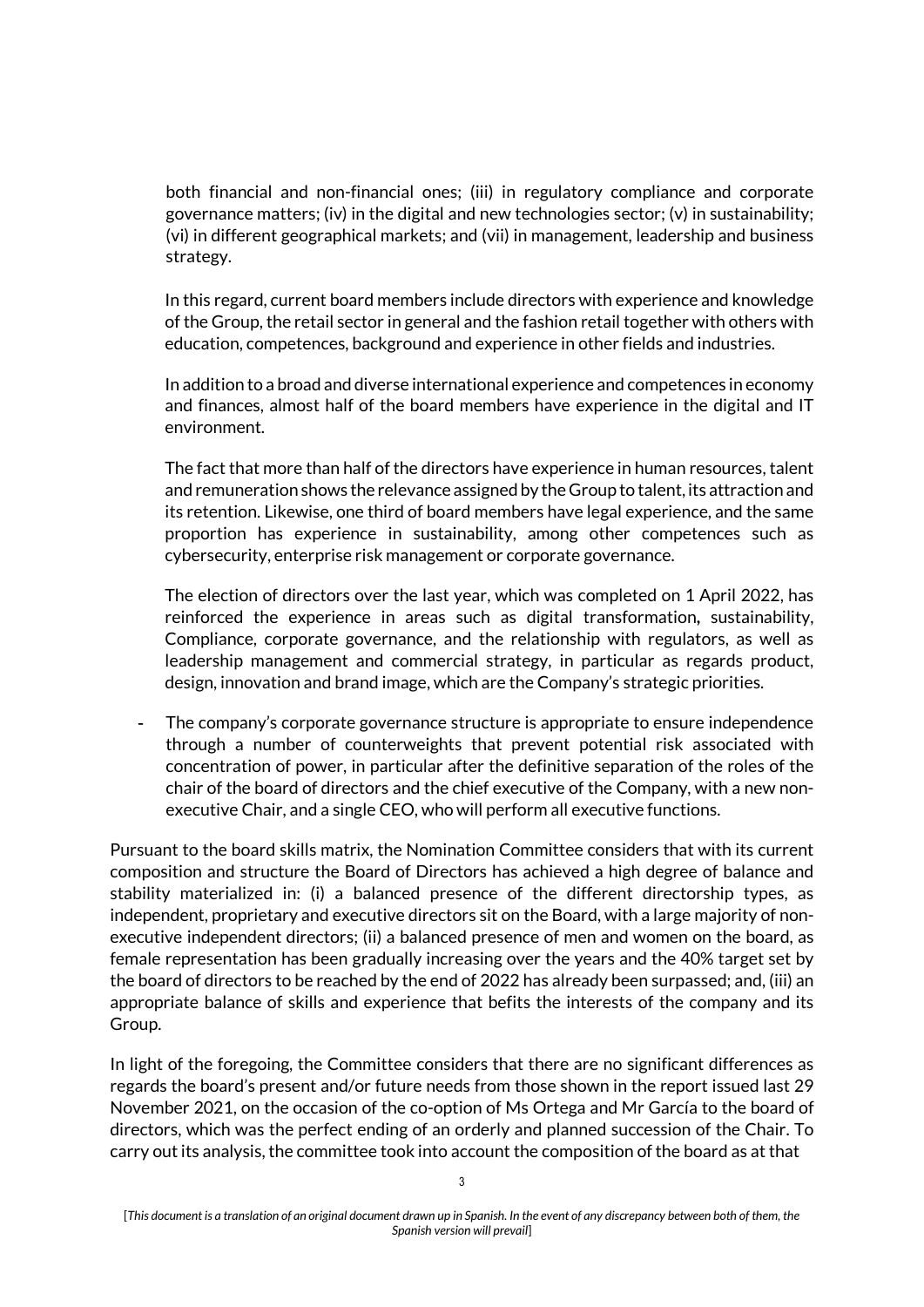both financial and non-financial ones; (iii) in regulatory compliance and corporate governance matters; (iv) in the digital and new technologies sector; (v) in sustainability; (vi) in different geographical markets; and (vii) in management, leadership and business strategy.

In this regard, current board members include directors with experience and knowledge of the Group, the retail sector in general and the fashion retail together with others with education, competences, background and experience in other fields and industries.

In addition to a broad and diverse international experience and competences in economy and finances, almost half of the board members have experience in the digital and IT environment.

The fact that more than half of the directors have experience in human resources, talent and remuneration shows the relevance assigned by the Group to talent, its attraction and its retention. Likewise, one third of board members have legal experience, and the same proportion has experience in sustainability, among other competences such as cybersecurity, enterprise risk management or corporate governance.

The election of directors over the last year, which was completed on 1 April 2022, has reinforced the experience in areas such as digital transformation**,** sustainability, Compliance, corporate governance, and the relationship with regulators, as well as leadership management and commercial strategy, in particular as regards product, design, innovation and brand image, which are the Company's strategic priorities.

The company's corporate governance structure is appropriate to ensure independence through a number of counterweights that prevent potential risk associated with concentration of power, in particular after the definitive separation of the roles of the chair of the board of directors and the chief executive of the Company, with a new nonexecutive Chair, and a single CEO, who will perform all executive functions.

Pursuant to the board skills matrix, the Nomination Committee considers that with its current composition and structure the Board of Directors has achieved a high degree of balance and stability materialized in: (i) a balanced presence of the different directorship types, as independent, proprietary and executive directors sit on the Board, with a large majority of nonexecutive independent directors; (ii) a balanced presence of men and women on the board, as female representation has been gradually increasing over the years and the 40% target set by the board of directors to be reached by the end of 2022 has already been surpassed; and, (iii) an appropriate balance of skills and experience that befits the interests of the company and its Group.

In light of the foregoing, the Committee considers that there are no significant differences as regards the board's present and/or future needs from those shown in the report issued last 29 November 2021, on the occasion of the co-option of Ms Ortega and Mr García to the board of directors, which was the perfect ending of an orderly and planned succession of the Chair. To carry out its analysis, the committee took into account the composition of the board as at that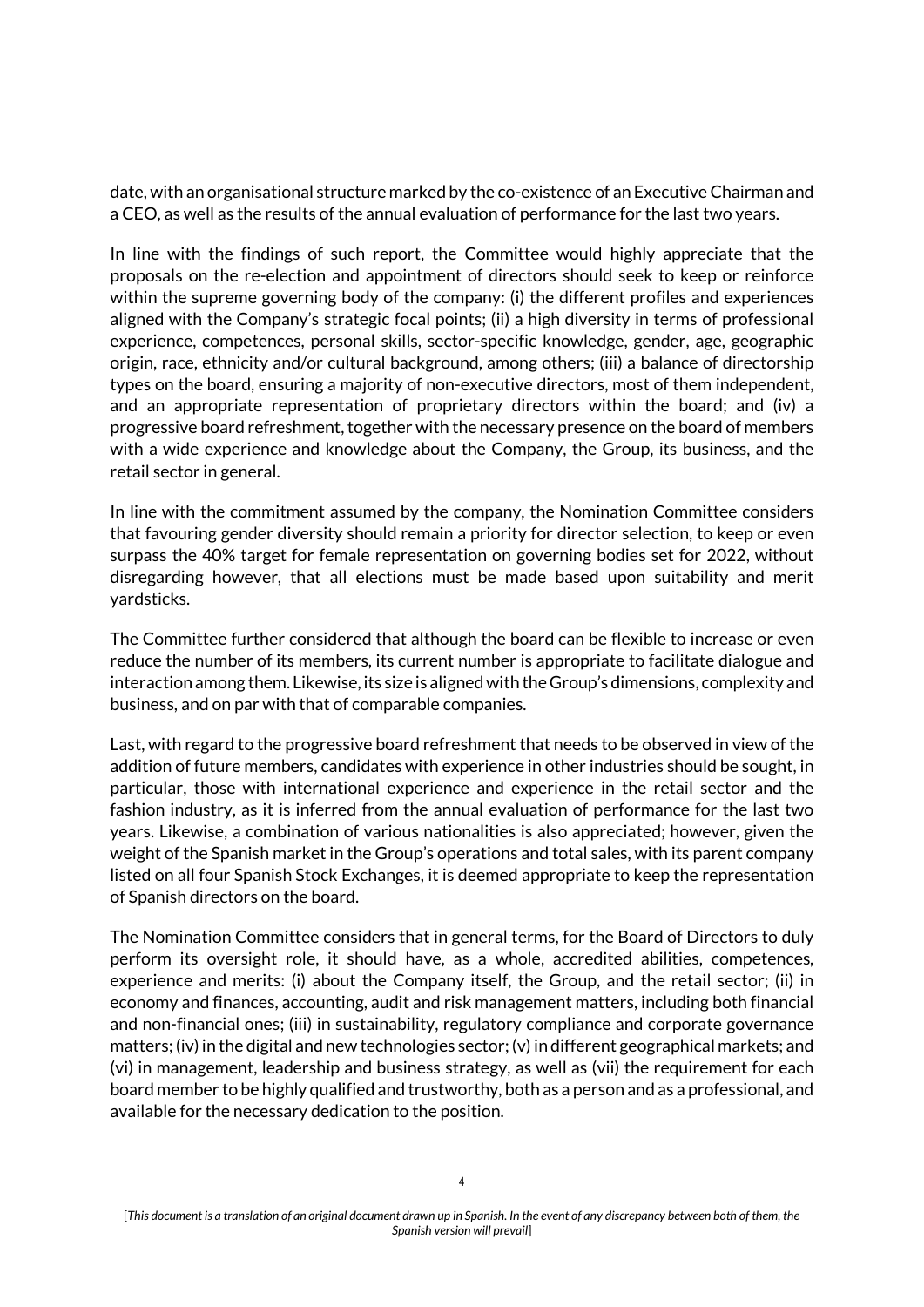date, with an organisational structure marked by the co-existence of an Executive Chairman and a CEO, as well as the results of the annual evaluation of performance for the last two years.

In line with the findings of such report, the Committee would highly appreciate that the proposals on the re-election and appointment of directors should seek to keep or reinforce within the supreme governing body of the company: (i) the different profiles and experiences aligned with the Company's strategic focal points; (ii) a high diversity in terms of professional experience, competences, personal skills, sector-specific knowledge, gender, age, geographic origin, race, ethnicity and/or cultural background, among others; (iii) a balance of directorship types on the board, ensuring a majority of non-executive directors, most of them independent, and an appropriate representation of proprietary directors within the board; and (iv) a progressive board refreshment, together with the necessary presence on the board of members with a wide experience and knowledge about the Company, the Group, its business, and the retail sector in general.

In line with the commitment assumed by the company, the Nomination Committee considers that favouring gender diversity should remain a priority for director selection, to keep or even surpass the 40% target for female representation on governing bodies set for 2022, without disregarding however, that all elections must be made based upon suitability and merit yardsticks.

The Committee further considered that although the board can be flexible to increase or even reduce the number of its members, its current number is appropriate to facilitate dialogue and interaction among them. Likewise, its size is aligned with the Group's dimensions, complexity and business, and on par with that of comparable companies.

Last, with regard to the progressive board refreshment that needs to be observed in view of the addition of future members, candidates with experience in other industries should be sought, in particular, those with international experience and experience in the retail sector and the fashion industry, as it is inferred from the annual evaluation of performance for the last two years. Likewise, a combination of various nationalities is also appreciated; however, given the weight of the Spanish market in the Group's operations and total sales, with its parent company listed on all four Spanish Stock Exchanges, it is deemed appropriate to keep the representation of Spanish directors on the board.

The Nomination Committee considers that in general terms, for the Board of Directors to duly perform its oversight role, it should have, as a whole, accredited abilities, competences, experience and merits: (i) about the Company itself, the Group, and the retail sector; (ii) in economy and finances, accounting, audit and risk management matters, including both financial and non-financial ones; (iii) in sustainability, regulatory compliance and corporate governance matters; (iv) in the digital and new technologies sector; (v) in different geographical markets; and (vi) in management, leadership and business strategy, as well as (vii) the requirement for each board member to be highly qualified and trustworthy, both as a person and as a professional, and available for the necessary dedication to the position.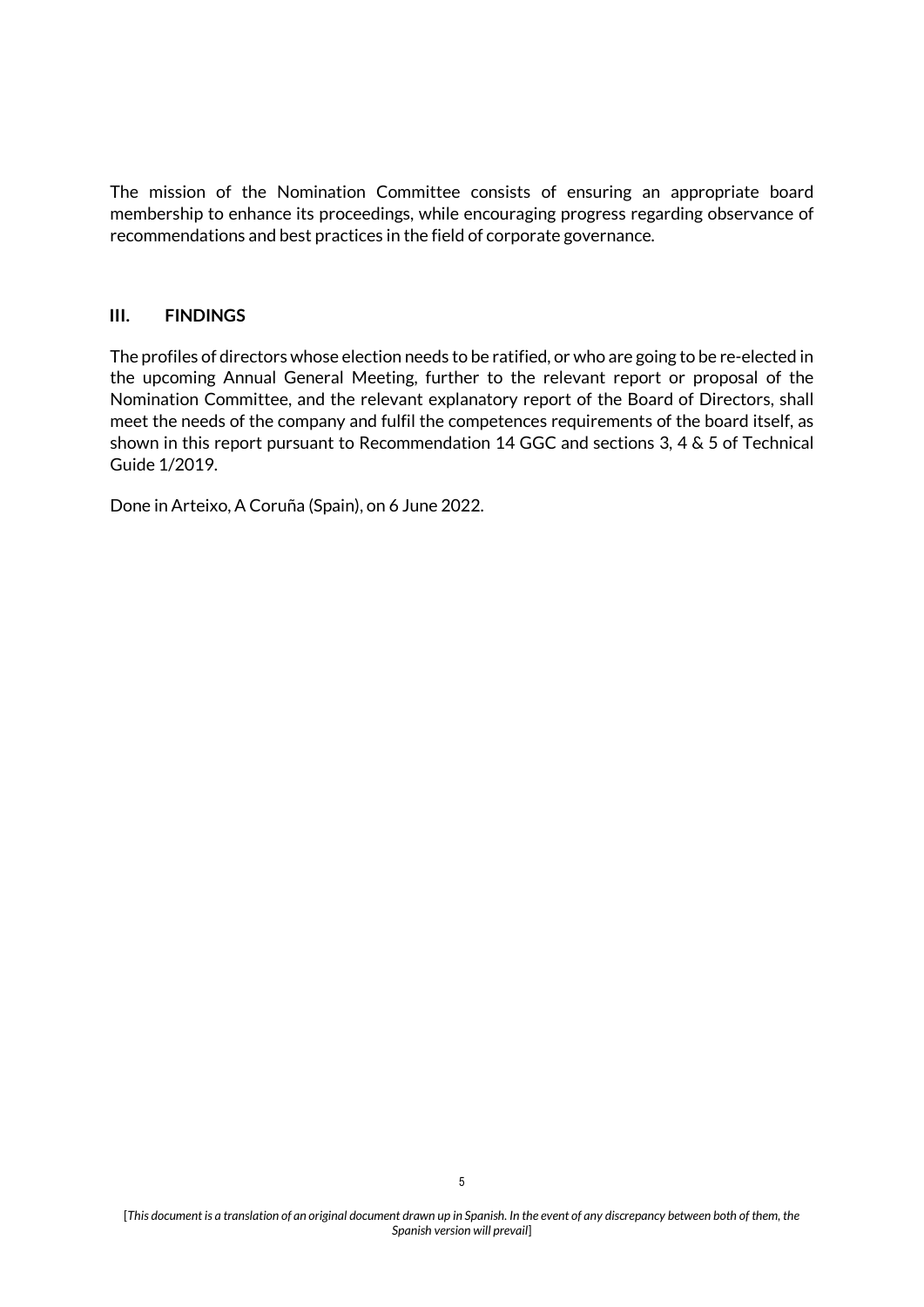The mission of the Nomination Committee consists of ensuring an appropriate board membership to enhance its proceedings, while encouraging progress regarding observance of recommendations and best practices in the field of corporate governance.

### **III. FINDINGS**

The profiles of directors whose election needs to be ratified, or who are going to be re-elected in the upcoming Annual General Meeting, further to the relevant report or proposal of the Nomination Committee, and the relevant explanatory report of the Board of Directors, shall meet the needs of the company and fulfil the competences requirements of the board itself, as shown in this report pursuant to Recommendation 14 GGC and sections 3, 4 & 5 of Technical Guide 1/2019.

Done in Arteixo, A Coruña (Spain), on 6 June 2022.